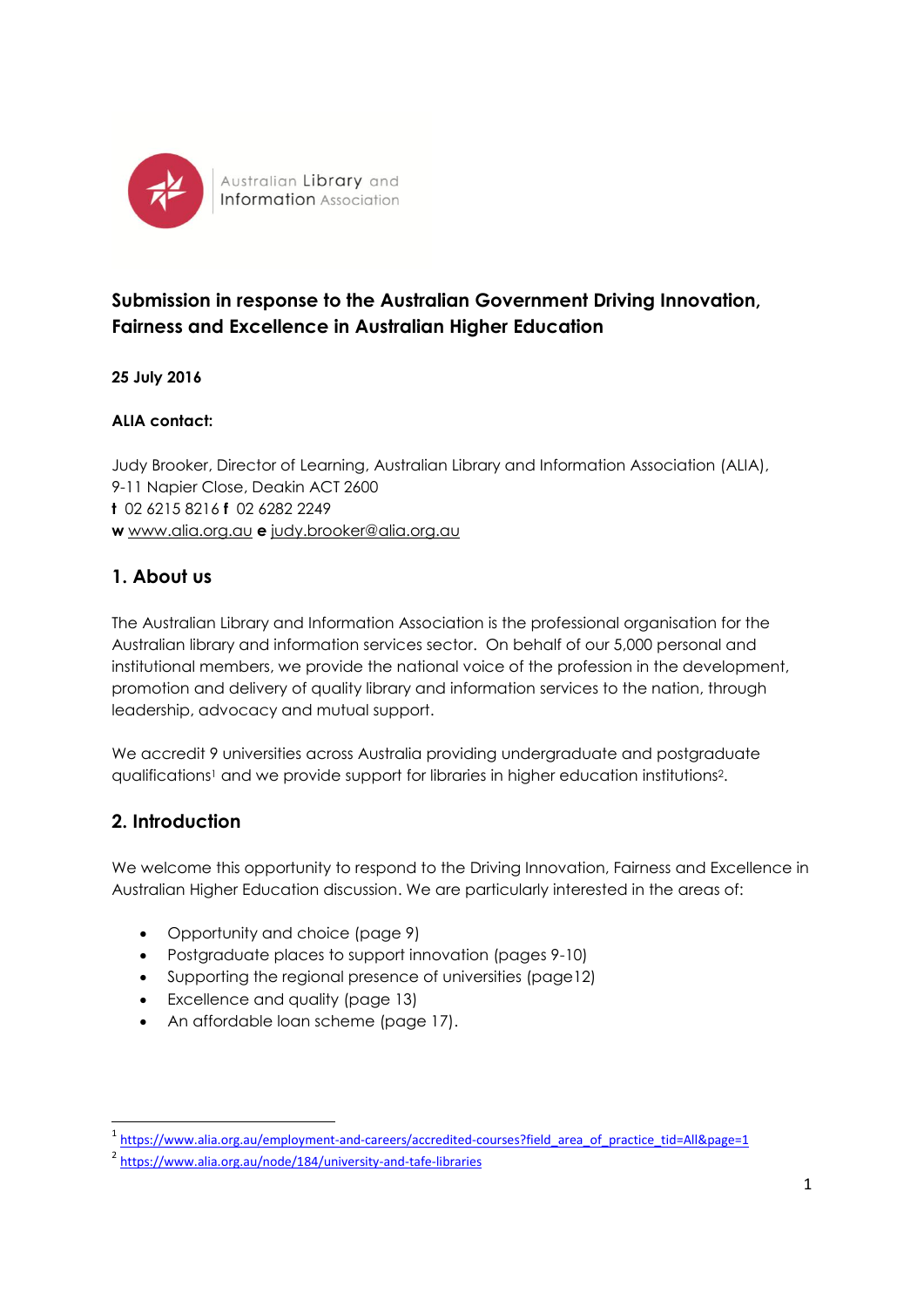

Australian Library and **Information** Association

# **Submission in response to the Australian Government Driving Innovation, Fairness and Excellence in Australian Higher Education**

**25 July 2016**

#### **ALIA contact:**

Judy Brooker, Director of Learning, Australian Library and Information Association (ALIA), 9-11 Napier Close, Deakin ACT 2600 **t** 02 6215 8216 **f** 02 6282 2249 **w** [www.alia.org.au](http://www.alia.org.au/) **e** [judy.brooker@alia.org.au](mailto:judy.brooker@alia.org.au)

### **1. About us**

The Australian Library and Information Association is the professional organisation for the Australian library and information services sector. On behalf of our 5,000 personal and institutional members, we provide the national voice of the profession in the development, promotion and delivery of quality library and information services to the nation, through leadership, advocacy and mutual support.

We accredit 9 universities across Australia providing undergraduate and postgraduate qualifications<sup>1</sup> and we provide support for libraries in higher education institutions2.

## **2. Introduction**

1

We welcome this opportunity to respond to the Driving Innovation, Fairness and Excellence in Australian Higher Education discussion. We are particularly interested in the areas of:

- Opportunity and choice (page 9)
- Postgraduate places to support innovation (pages 9-10)
- Supporting the regional presence of universities (page12)
- Excellence and quality (page 13)
- An affordable loan scheme (page 17).

<sup>&</sup>lt;sup>1</sup> https://www.alia.org.au/employment-and-careers/accredited-courses?field area of practice tid=All&page=1

<sup>&</sup>lt;sup>2</sup> <https://www.alia.org.au/node/184/university-and-tafe-libraries>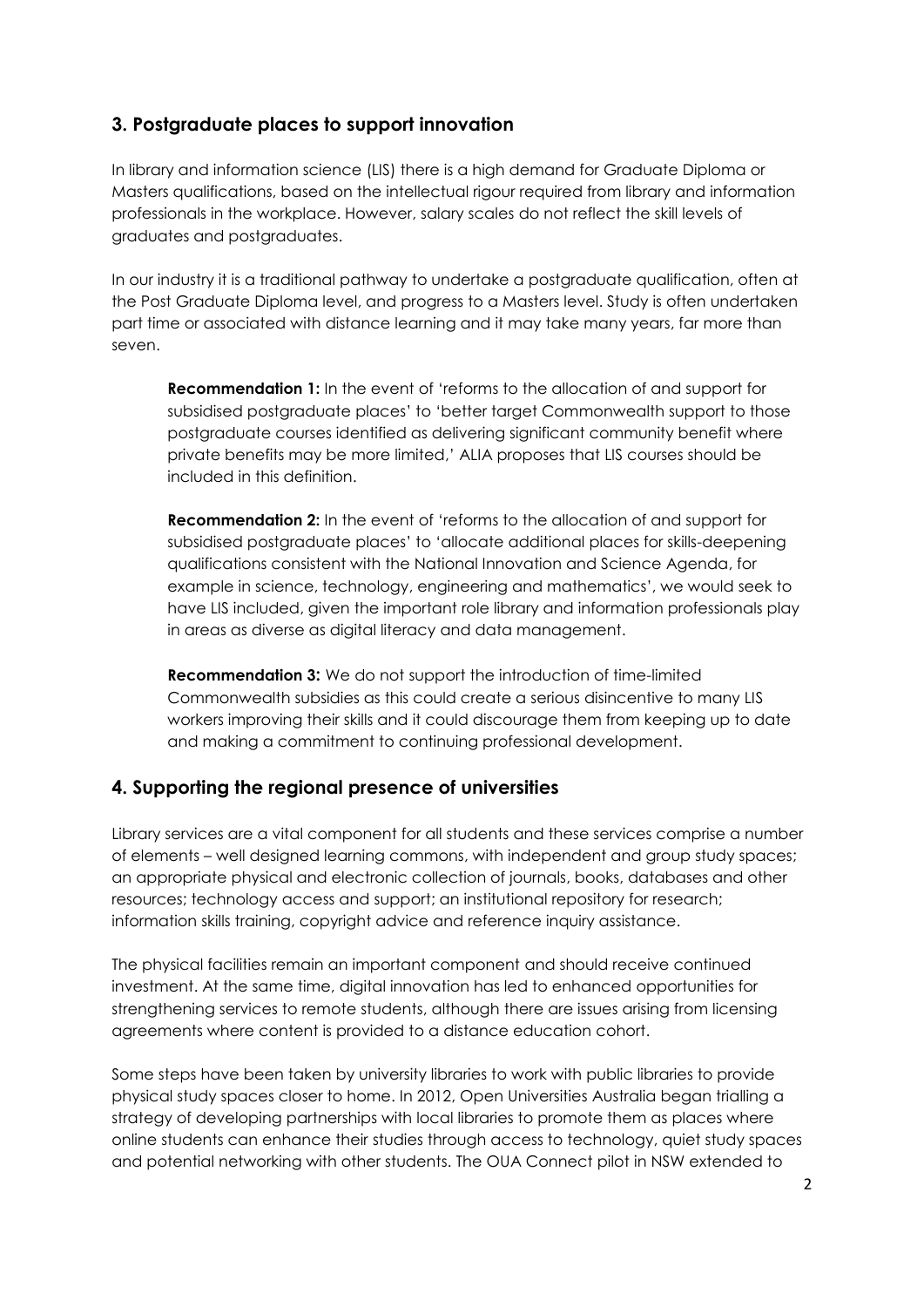#### **3. Postgraduate places to support innovation**

In library and information science (LIS) there is a high demand for Graduate Diploma or Masters qualifications, based on the intellectual rigour required from library and information professionals in the workplace. However, salary scales do not reflect the skill levels of graduates and postgraduates.

In our industry it is a traditional pathway to undertake a postgraduate qualification, often at the Post Graduate Diploma level, and progress to a Masters level. Study is often undertaken part time or associated with distance learning and it may take many years, far more than seven.

**Recommendation 1:** In the event of 'reforms to the allocation of and support for subsidised postgraduate places' to 'better target Commonwealth support to those postgraduate courses identified as delivering significant community benefit where private benefits may be more limited,' ALIA proposes that LIS courses should be included in this definition.

**Recommendation 2:** In the event of 'reforms to the allocation of and support for subsidised postgraduate places' to 'allocate additional places for skills-deepening qualifications consistent with the National Innovation and Science Agenda, for example in science, technology, engineering and mathematics', we would seek to have LIS included, given the important role library and information professionals play in areas as diverse as digital literacy and data management.

**Recommendation 3:** We do not support the introduction of time-limited Commonwealth subsidies as this could create a serious disincentive to many LIS workers improving their skills and it could discourage them from keeping up to date and making a commitment to continuing professional development.

#### **4. Supporting the regional presence of universities**

Library services are a vital component for all students and these services comprise a number of elements – well designed learning commons, with independent and group study spaces; an appropriate physical and electronic collection of journals, books, databases and other resources; technology access and support; an institutional repository for research; information skills training, copyright advice and reference inquiry assistance.

The physical facilities remain an important component and should receive continued investment. At the same time, digital innovation has led to enhanced opportunities for strengthening services to remote students, although there are issues arising from licensing agreements where content is provided to a distance education cohort.

Some steps have been taken by university libraries to work with public libraries to provide physical study spaces closer to home. In 2012, Open Universities Australia began trialling a strategy of developing partnerships with local libraries to promote them as places where online students can enhance their studies through access to technology, quiet study spaces and potential networking with other students. The OUA Connect pilot in NSW extended to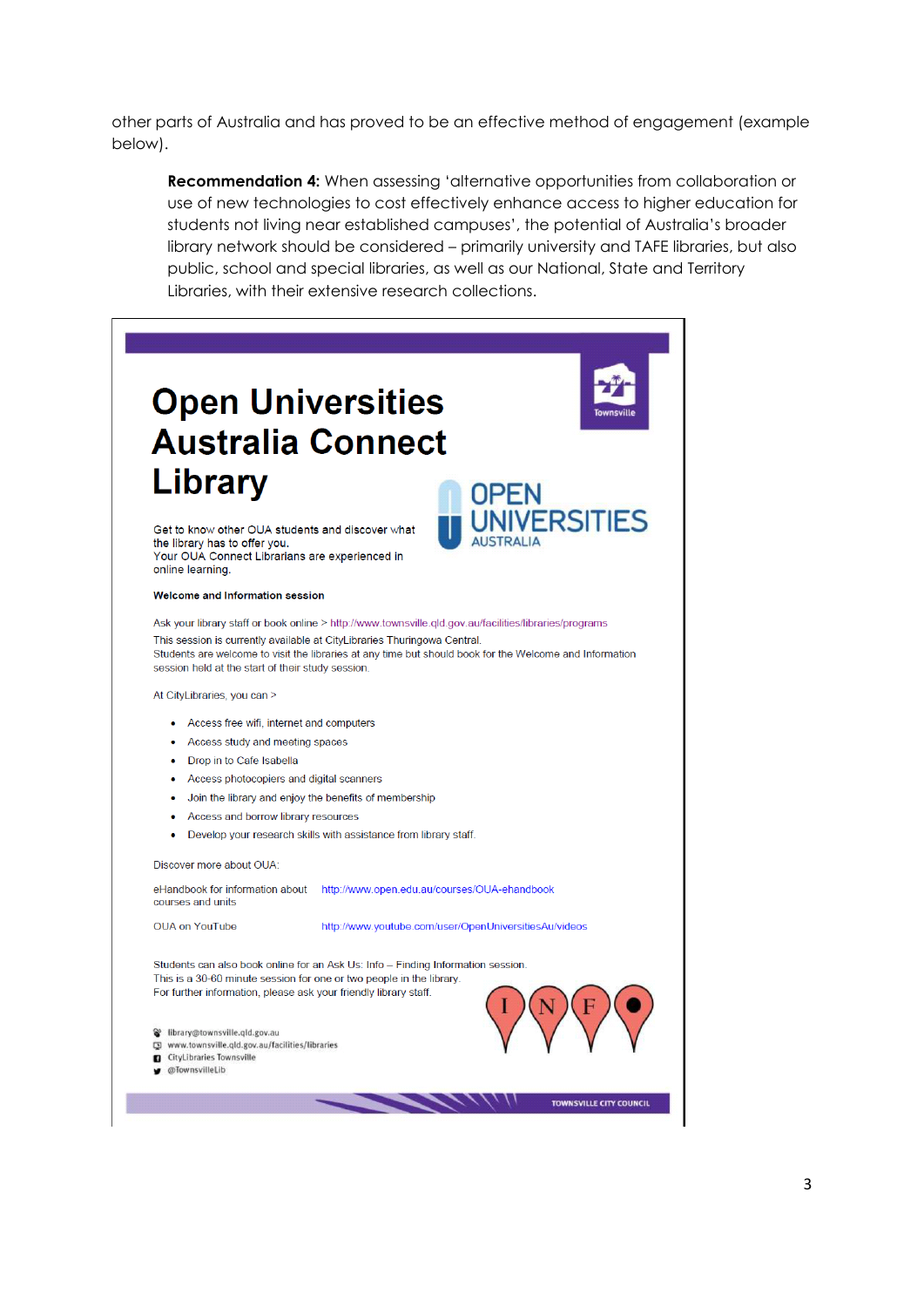other parts of Australia and has proved to be an effective method of engagement (example below).

**Recommendation 4:** When assessing 'alternative opportunities from collaboration or use of new technologies to cost effectively enhance access to higher education for students not living near established campuses', the potential of Australia's broader library network should be considered – primarily university and TAFE libraries, but also public, school and special libraries, as well as our National, State and Territory Libraries, with their extensive research collections.

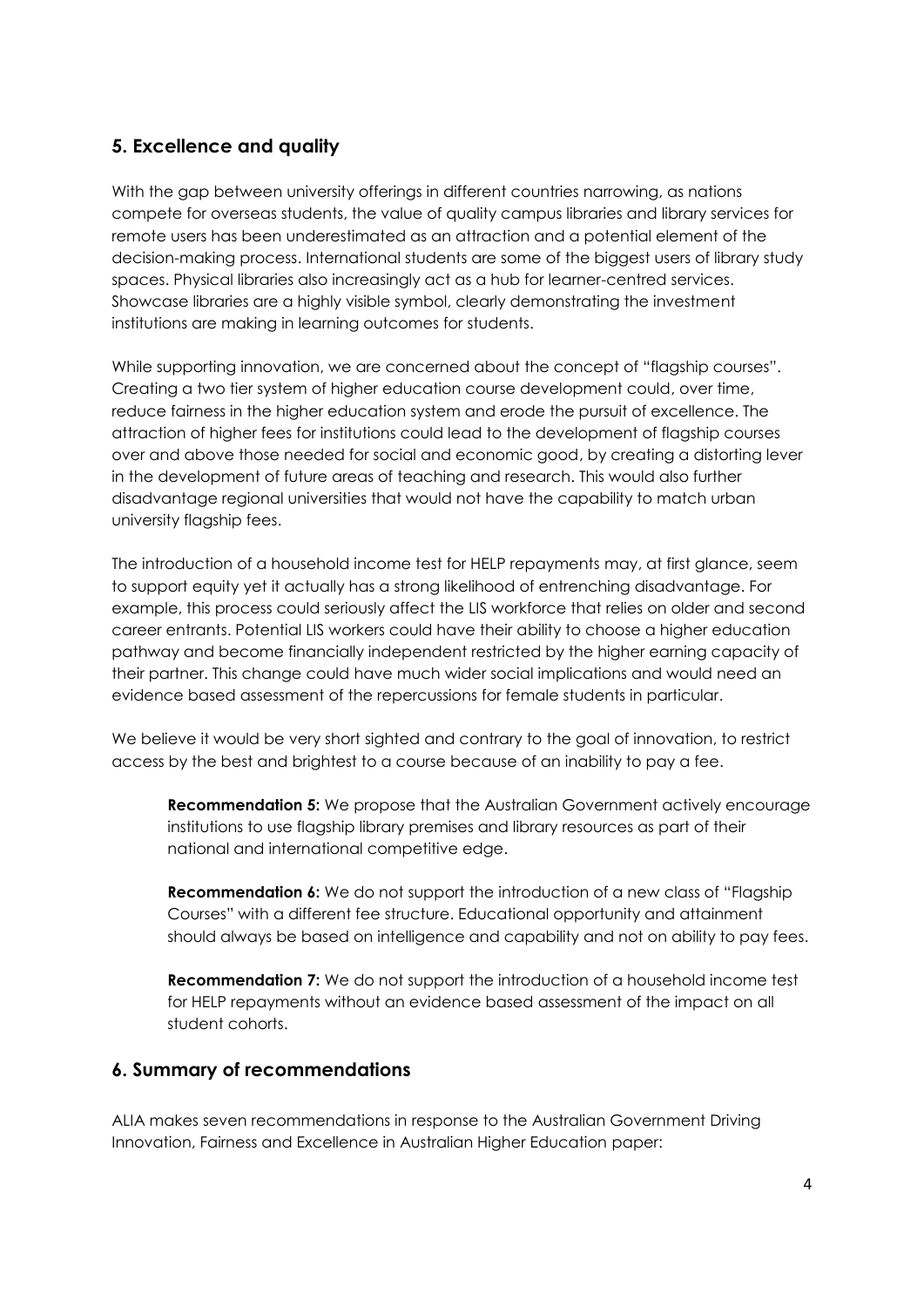### **5. Excellence and quality**

With the gap between university offerings in different countries narrowing, as nations compete for overseas students, the value of quality campus libraries and library services for remote users has been underestimated as an attraction and a potential element of the decision-making process. International students are some of the biggest users of library study spaces. Physical libraries also increasingly act as a hub for learner-centred services. Showcase libraries are a highly visible symbol, clearly demonstrating the investment institutions are making in learning outcomes for students.

While supporting innovation, we are concerned about the concept of "flagship courses". Creating a two tier system of higher education course development could, over time, reduce fairness in the higher education system and erode the pursuit of excellence. The attraction of higher fees for institutions could lead to the development of flagship courses over and above those needed for social and economic good, by creating a distorting lever in the development of future areas of teaching and research. This would also further disadvantage regional universities that would not have the capability to match urban university flagship fees.

The introduction of a household income test for HELP repayments may, at first glance, seem to support equity yet it actually has a strong likelihood of entrenching disadvantage. For example, this process could seriously affect the LIS workforce that relies on older and second career entrants. Potential LIS workers could have their ability to choose a higher education pathway and become financially independent restricted by the higher earning capacity of their partner. This change could have much wider social implications and would need an evidence based assessment of the repercussions for female students in particular.

We believe it would be very short sighted and contrary to the goal of innovation, to restrict access by the best and brightest to a course because of an inability to pay a fee.

**Recommendation 5:** We propose that the Australian Government actively encourage institutions to use flagship library premises and library resources as part of their national and international competitive edge.

**Recommendation 6:** We do not support the introduction of a new class of "Flagship" Courses" with a different fee structure. Educational opportunity and attainment should always be based on intelligence and capability and not on ability to pay fees.

**Recommendation 7:** We do not support the introduction of a household income test for HELP repayments without an evidence based assessment of the impact on all student cohorts.

#### **6. Summary of recommendations**

ALIA makes seven recommendations in response to the Australian Government Driving Innovation, Fairness and Excellence in Australian Higher Education paper: